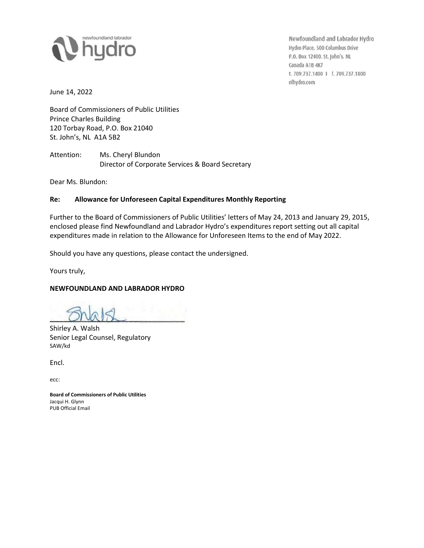

Newfoundland and Labrador Hydro Hydro Place. 500 Columbus Drive P.O. Box 12400. St. John's. NL Canada A1B 4K7 t. 709.737.1400 | f. 709.737.1800 nlhydro.com

June 14, 2022

Board of Commissioners of Public Utilities Prince Charles Building 120 Torbay Road, P.O. Box 21040 St. John's, NL A1A 5B2

Attention: Ms. Cheryl Blundon Director of Corporate Services & Board Secretary

Dear Ms. Blundon:

## **Re: Allowance for Unforeseen Capital Expenditures Monthly Reporting**

Further to the Board of Commissioners of Public Utilities' letters of May 24, 2013 and January 29, 2015, enclosed please find Newfoundland and Labrador Hydro's expenditures report setting out all capital expenditures made in relation to the Allowance for Unforeseen Items to the end of May 2022.

Should you have any questions, please contact the undersigned.

Yours truly,

## **NEWFOUNDLAND AND LABRADOR HYDRO**

Shirley A. Walsh Senior Legal Counsel, Regulatory SAW/kd

Encl.

ecc:

**Board of Commissioners of Public Utilities** Jacqui H. Glynn PUB Official Email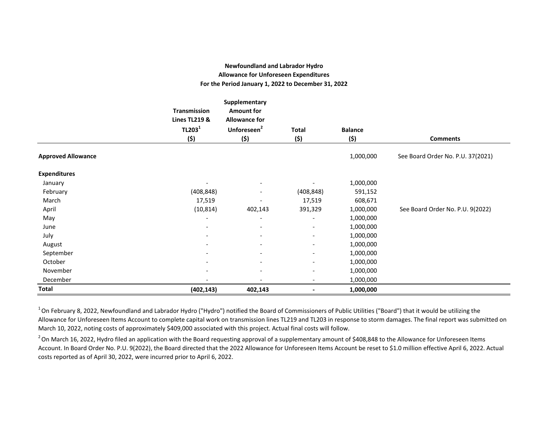## **Newfoundland and Labrador Hydro Allowance for Unforeseen Expenditures For the Period January 1, 2022 to December 31, 2022**

|                           |                                                 | Supplementary                             |                          |                |                                   |
|---------------------------|-------------------------------------------------|-------------------------------------------|--------------------------|----------------|-----------------------------------|
|                           | <b>Transmission</b><br><b>Lines TL219 &amp;</b> | <b>Amount for</b><br><b>Allowance for</b> |                          |                |                                   |
|                           | TL203 <sup>1</sup>                              | Unforeseen <sup>2</sup>                   | <b>Total</b>             | <b>Balance</b> |                                   |
|                           | (\$)                                            | (5)                                       | (5)                      | (5)            | <b>Comments</b>                   |
| <b>Approved Allowance</b> |                                                 |                                           |                          | 1,000,000      | See Board Order No. P.U. 37(2021) |
| <b>Expenditures</b>       |                                                 |                                           |                          |                |                                   |
| January                   | $\overline{\phantom{a}}$                        | $\overline{\phantom{a}}$                  |                          | 1,000,000      |                                   |
| February                  | (408, 848)                                      | $\overline{\phantom{a}}$                  | (408, 848)               | 591,152        |                                   |
| March                     | 17,519                                          |                                           | 17,519                   | 608,671        |                                   |
| April                     | (10, 814)                                       | 402,143                                   | 391,329                  | 1,000,000      | See Board Order No. P.U. 9(2022)  |
| May                       | $\overline{\phantom{a}}$                        | $\overline{\phantom{a}}$                  | $\overline{\phantom{a}}$ | 1,000,000      |                                   |
| June                      | $\overline{\phantom{a}}$                        | $\overline{\phantom{a}}$                  | $\overline{\phantom{a}}$ | 1,000,000      |                                   |
| July                      |                                                 | $\overline{\phantom{a}}$                  | $\overline{\phantom{a}}$ | 1,000,000      |                                   |
| August                    |                                                 | $\overline{\phantom{a}}$                  | $\overline{\phantom{a}}$ | 1,000,000      |                                   |
| September                 |                                                 | $\overline{\phantom{a}}$                  | $\overline{\phantom{a}}$ | 1,000,000      |                                   |
| October                   |                                                 | $\overline{\phantom{a}}$                  | $\overline{\phantom{a}}$ | 1,000,000      |                                   |
| November                  | $\overline{\phantom{a}}$                        | $\overline{\phantom{a}}$                  | $\overline{\phantom{a}}$ | 1,000,000      |                                   |
| December                  |                                                 |                                           | $\overline{\phantom{a}}$ | 1,000,000      |                                   |
| <b>Total</b>              | (402, 143)                                      | 402,143                                   |                          | 1,000,000      |                                   |

 $1$ On February 8, 2022, Newfoundland and Labrador Hydro ("Hydro") notified the Board of Commissioners of Public Utilities ("Board") that it would be utilizing the Allowance for Unforeseen Items Account to complete capital work on transmission lines TL219 and TL203 in response to storm damages. The final report was submitted on March 10, 2022, noting costs of approximately \$409,000 associated with this project. Actual final costs will follow.

 $^{2}$  On March 16, 2022, Hydro filed an application with the Board requesting approval of a supplementary amount of \$408,848 to the Allowance for Unforeseen Items Account. In Board Order No. P.U. 9(2022), the Board directed that the 2022 Allowance for Unforeseen Items Account be reset to \$1.0 million effective April 6, 2022. Actual costs reported as of April 30, 2022, were incurred prior to April 6, 2022.